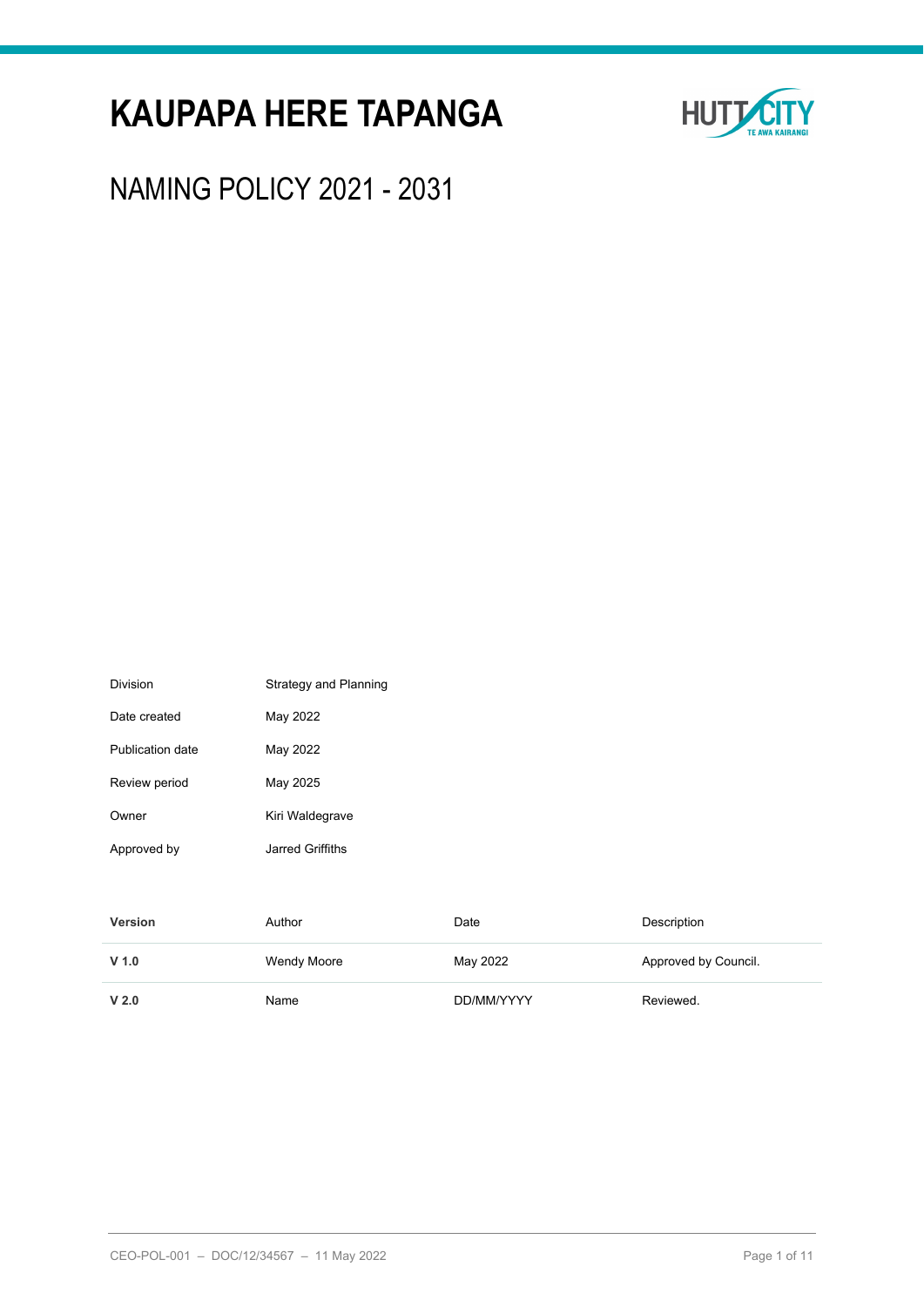# **KAUPAPA HERE TAPANGA**



NAMING POLICY 2021 - 2031

| Publication date | May 2022           |            |                      |
|------------------|--------------------|------------|----------------------|
| Review period    | May 2025           |            |                      |
| Owner            | Kiri Waldegrave    |            |                      |
| Approved by      | Jarred Griffiths   |            |                      |
|                  |                    |            |                      |
| <b>Version</b>   | Author             | Date       | Description          |
| $V$ 1.0          | <b>Wendy Moore</b> | May 2022   | Approved by Council. |
| V <sub>2.0</sub> | Name               | DD/MM/YYYY | Reviewed.            |

Division **Strategy** and Planning

Date created May 2022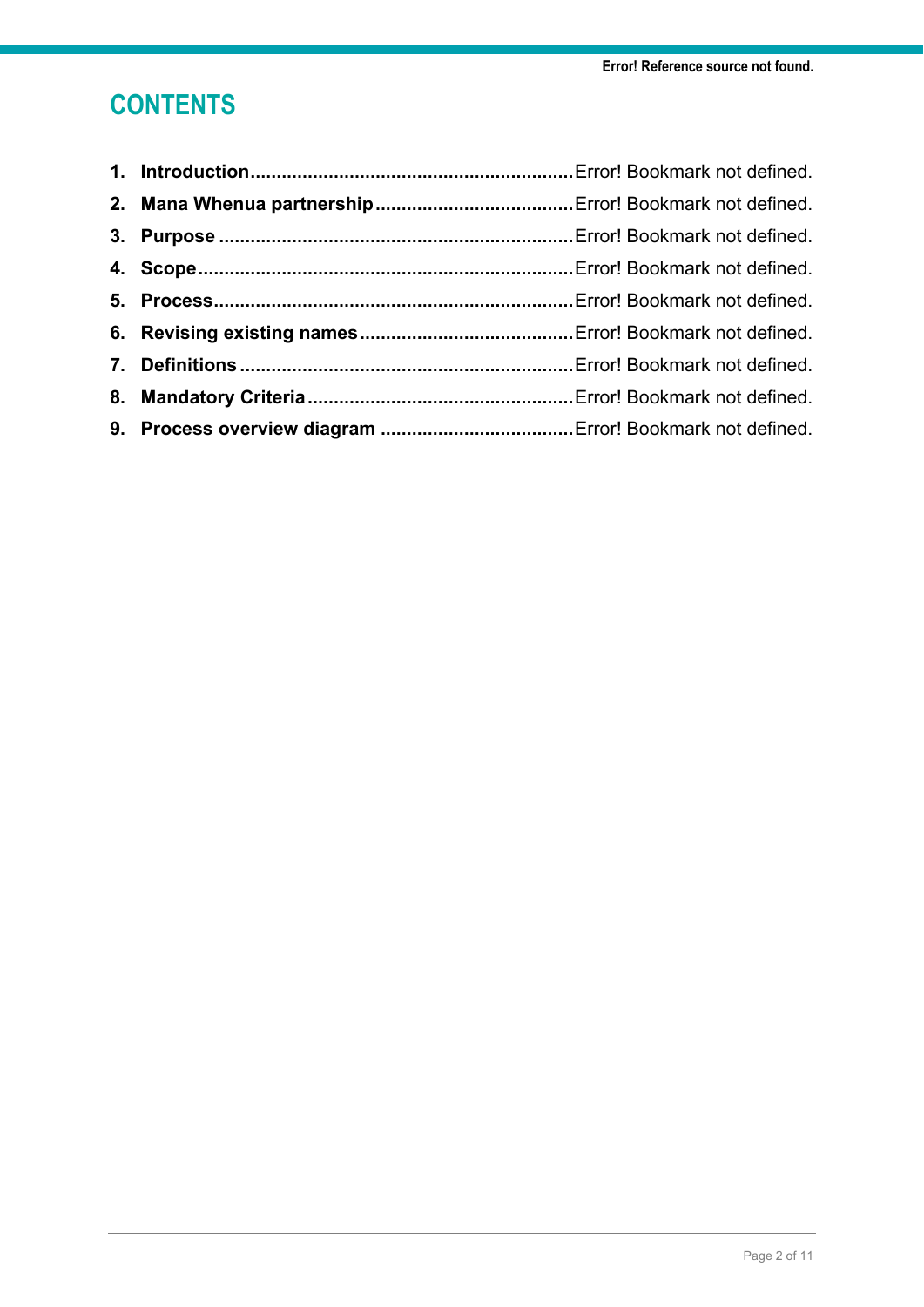## **CONTENTS**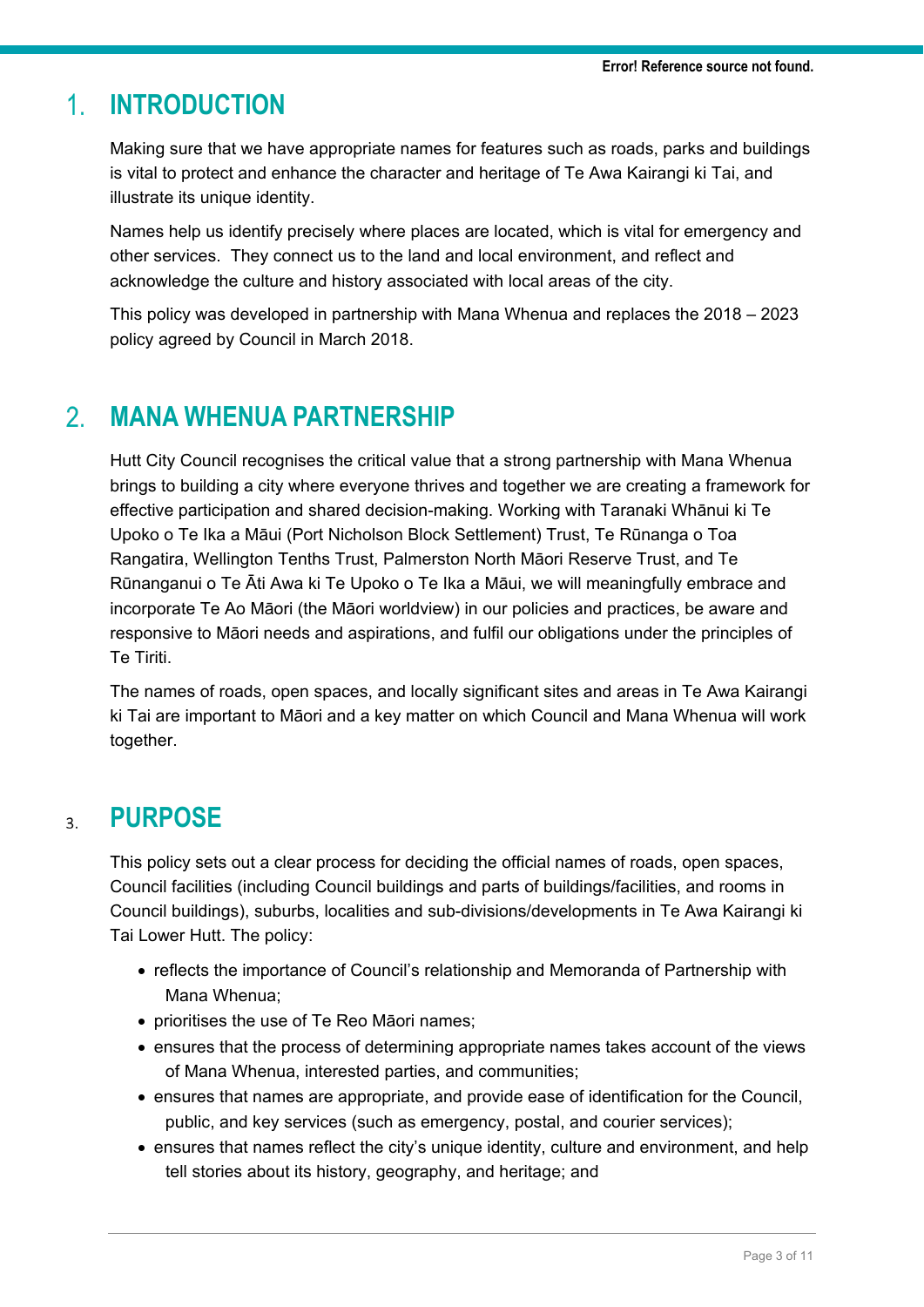#### **INTRODUCTION**  $1<sub>1</sub>$

Making sure that we have appropriate names for features such as roads, parks and buildings is vital to protect and enhance the character and heritage of Te Awa Kairangi ki Tai, and illustrate its unique identity.

Names help us identify precisely where places are located, which is vital for emergency and other services. They connect us to the land and local environment, and reflect and acknowledge the culture and history associated with local areas of the city.

This policy was developed in partnership with Mana Whenua and replaces the 2018 – 2023 policy agreed by Council in March 2018.

#### $\mathcal{P}$ **MANA WHENUA PARTNERSHIP**

Hutt City Council recognises the critical value that a strong partnership with Mana Whenua brings to building a city where everyone thrives and together we are creating a framework for effective participation and shared decision-making. Working with Taranaki Whānui ki Te Upoko o Te Ika a Māui (Port Nicholson Block Settlement) Trust, Te Rūnanga o Toa Rangatira, Wellington Tenths Trust, Palmerston North Māori Reserve Trust, and Te Rūnanganui o Te Āti Awa ki Te Upoko o Te Ika a Māui, we will meaningfully embrace and incorporate Te Ao Māori (the Māori worldview) in our policies and practices, be aware and responsive to Māori needs and aspirations, and fulfil our obligations under the principles of Te Tiriti.

The names of roads, open spaces, and locally significant sites and areas in Te Awa Kairangi ki Tai are important to Māori and a key matter on which Council and Mana Whenua will work together.

#### **PURPOSE**  $3.$

This policy sets out a clear process for deciding the official names of roads, open spaces, Council facilities (including Council buildings and parts of buildings/facilities, and rooms in Council buildings), suburbs, localities and sub-divisions/developments in Te Awa Kairangi ki Tai Lower Hutt. The policy:

- reflects the importance of Council's relationship and Memoranda of Partnership with Mana Whenua;
- prioritises the use of Te Reo Māori names;
- ensures that the process of determining appropriate names takes account of the views of Mana Whenua, interested parties, and communities;
- ensures that names are appropriate, and provide ease of identification for the Council, public, and key services (such as emergency, postal, and courier services);
- ensures that names reflect the city's unique identity, culture and environment, and help tell stories about its history, geography, and heritage; and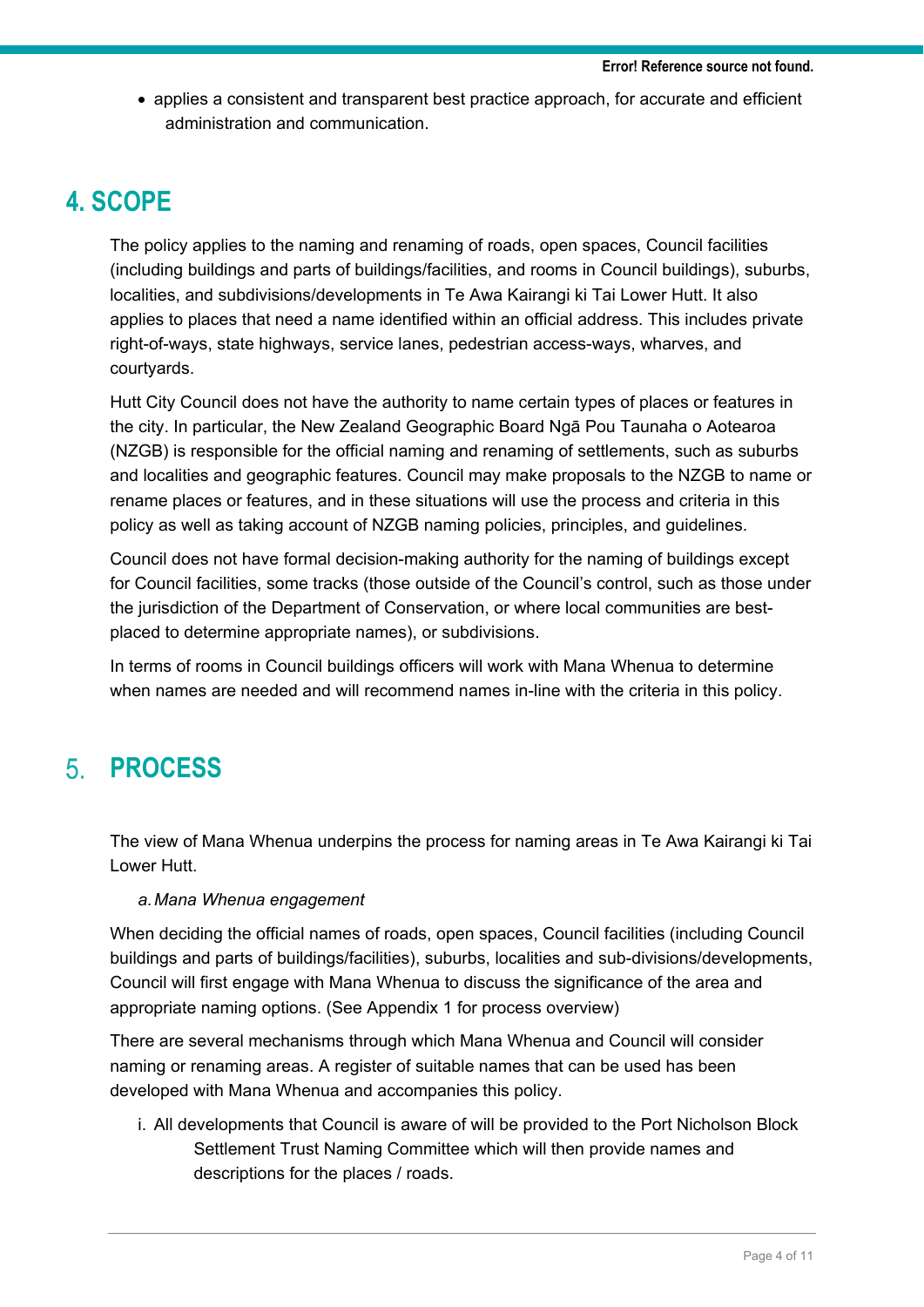• applies a consistent and transparent best practice approach, for accurate and efficient administration and communication.

## **4. SCOPE**

The policy applies to the naming and renaming of roads, open spaces, Council facilities (including buildings and parts of buildings/facilities, and rooms in Council buildings), suburbs, localities, and subdivisions/developments in Te Awa Kairangi ki Tai Lower Hutt. It also applies to places that need a name identified within an official address. This includes private right-of-ways, state highways, service lanes, pedestrian access-ways, wharves, and courtyards.

Hutt City Council does not have the authority to name certain types of places or features in the city. In particular, the New Zealand Geographic Board Ngā Pou Taunaha o Aotearoa (NZGB) is responsible for the official naming and renaming of settlements, such as suburbs and localities and geographic features. Council may make proposals to the NZGB to name or rename places or features, and in these situations will use the process and criteria in this policy as well as taking account of NZGB naming policies, principles, and guidelines.

Council does not have formal decision-making authority for the naming of buildings except for Council facilities, some tracks (those outside of the Council's control, such as those under the jurisdiction of the Department of Conservation, or where local communities are bestplaced to determine appropriate names), or subdivisions.

In terms of rooms in Council buildings officers will work with Mana Whenua to determine when names are needed and will recommend names in-line with the criteria in this policy.

#### **PROCESS**  $5<sub>1</sub>$

The view of Mana Whenua underpins the process for naming areas in Te Awa Kairangi ki Tai Lower Hutt.

## *a.Mana Whenua engagement*

When deciding the official names of roads, open spaces, Council facilities (including Council buildings and parts of buildings/facilities), suburbs, localities and sub-divisions/developments, Council will first engage with Mana Whenua to discuss the significance of the area and appropriate naming options. (See Appendix 1 for process overview)

There are several mechanisms through which Mana Whenua and Council will consider naming or renaming areas. A register of suitable names that can be used has been developed with Mana Whenua and accompanies this policy.

i. All developments that Council is aware of will be provided to the Port Nicholson Block Settlement Trust Naming Committee which will then provide names and descriptions for the places / roads.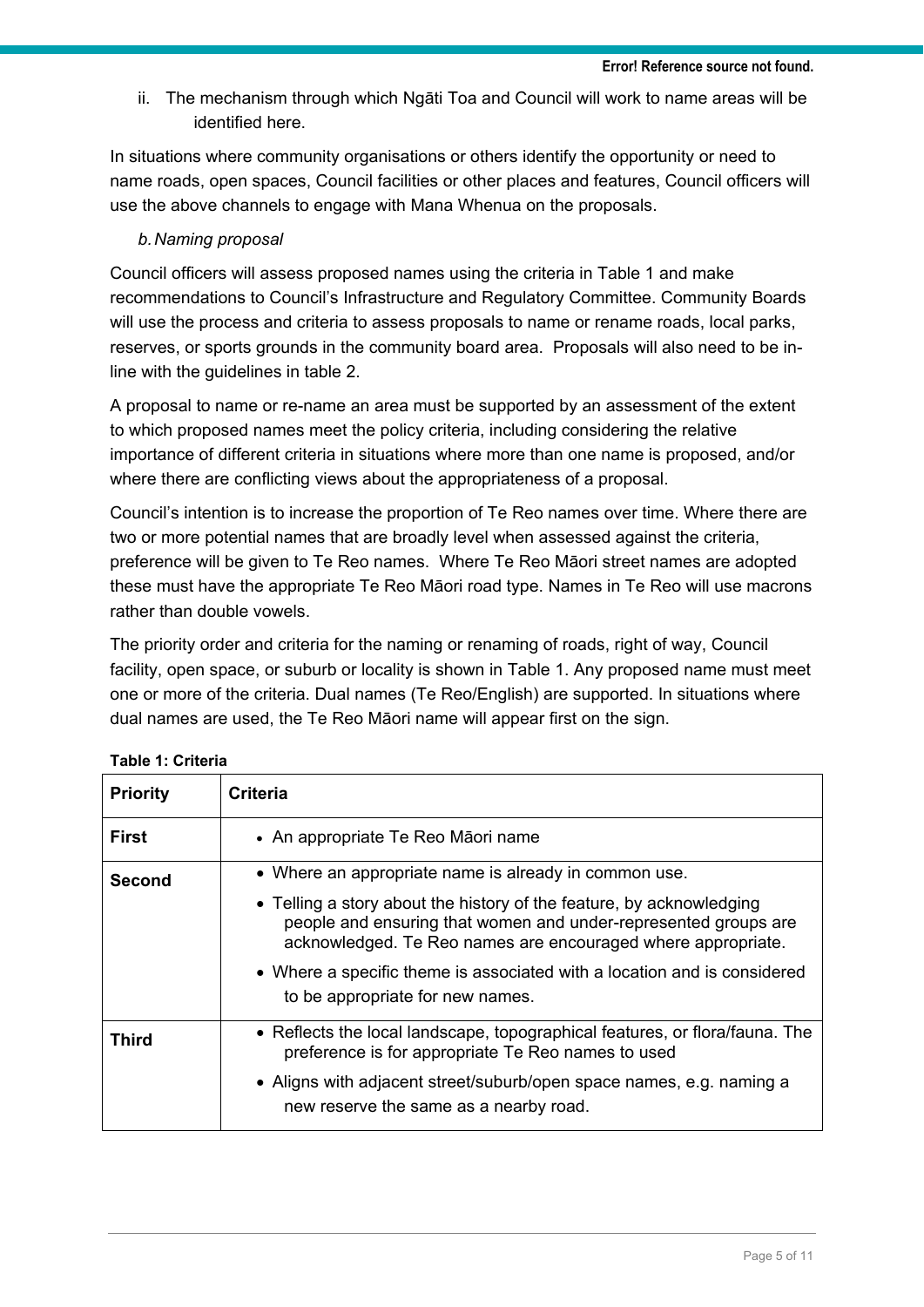ii. The mechanism through which Ngāti Toa and Council will work to name areas will be identified here.

In situations where community organisations or others identify the opportunity or need to name roads, open spaces, Council facilities or other places and features, Council officers will use the above channels to engage with Mana Whenua on the proposals.

## *b.Naming proposal*

Council officers will assess proposed names using the criteria in Table 1 and make recommendations to Council's Infrastructure and Regulatory Committee. Community Boards will use the process and criteria to assess proposals to name or rename roads, local parks, reserves, or sports grounds in the community board area. Proposals will also need to be inline with the guidelines in table 2.

A proposal to name or re-name an area must be supported by an assessment of the extent to which proposed names meet the policy criteria, including considering the relative importance of different criteria in situations where more than one name is proposed, and/or where there are conflicting views about the appropriateness of a proposal.

Council's intention is to increase the proportion of Te Reo names over time. Where there are two or more potential names that are broadly level when assessed against the criteria, preference will be given to Te Reo names. Where Te Reo Māori street names are adopted these must have the appropriate Te Reo Māori road type. Names in Te Reo will use macrons rather than double vowels.

The priority order and criteria for the naming or renaming of roads, right of way, Council facility, open space, or suburb or locality is shown in Table 1. Any proposed name must meet one or more of the criteria. Dual names (Te Reo/English) are supported. In situations where dual names are used, the Te Reo Māori name will appear first on the sign.

| <b>Priority</b> | <b>Criteria</b>                                                                                                                                                                                         |  |  |  |  |
|-----------------|---------------------------------------------------------------------------------------------------------------------------------------------------------------------------------------------------------|--|--|--|--|
| <b>First</b>    | • An appropriate Te Reo Māori name                                                                                                                                                                      |  |  |  |  |
| Second          | • Where an appropriate name is already in common use.                                                                                                                                                   |  |  |  |  |
|                 | • Telling a story about the history of the feature, by acknowledging<br>people and ensuring that women and under-represented groups are<br>acknowledged. Te Reo names are encouraged where appropriate. |  |  |  |  |
|                 | • Where a specific theme is associated with a location and is considered<br>to be appropriate for new names.                                                                                            |  |  |  |  |
| <b>Third</b>    | • Reflects the local landscape, topographical features, or flora/fauna. The<br>preference is for appropriate Te Reo names to used                                                                       |  |  |  |  |
|                 | • Aligns with adjacent street/suburb/open space names, e.g. naming a<br>new reserve the same as a nearby road.                                                                                          |  |  |  |  |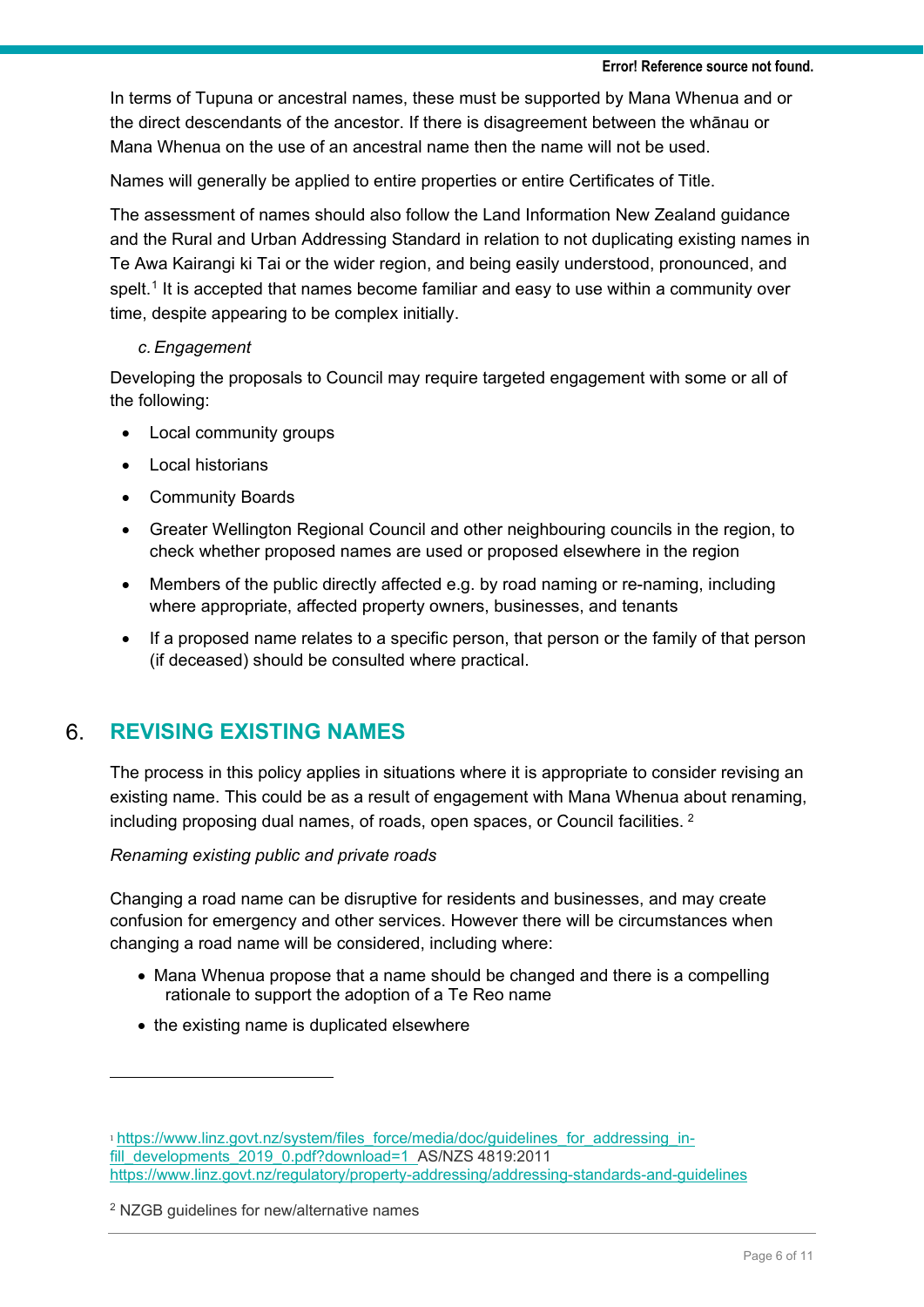In terms of Tupuna or ancestral names, these must be supported by Mana Whenua and or the direct descendants of the ancestor. If there is disagreement between the whānau or Mana Whenua on the use of an ancestral name then the name will not be used.

Names will generally be applied to entire properties or entire Certificates of Title.

The assessment of names should also follow the Land Information New Zealand guidance and the Rural and Urban Addressing Standard in relation to not duplicating existing names in Te Awa Kairangi ki Tai or the wider region, and being easily understood, pronounced, and spelt.<sup>[1](#page-5-0)</sup> It is accepted that names become familiar and easy to use within a community over time, despite appearing to be complex initially.

## *c.Engagement*

Developing the proposals to Council may require targeted engagement with some or all of the following:

- Local community groups
- **Local historians**
- Community Boards
- Greater Wellington Regional Council and other neighbouring councils in the region, to check whether proposed names are used or proposed elsewhere in the region
- Members of the public directly affected e.g. by road naming or re-naming, including where appropriate, affected property owners, businesses, and tenants
- If a proposed name relates to a specific person, that person or the family of that person (if deceased) should be consulted where practical.

#### $6<sub>1</sub>$ **REVISING EXISTING NAMES**

The process in this policy applies in situations where it is appropriate to consider revising an existing name. This could be as a result of engagement with Mana Whenua about renaming, including proposing dual names, of roads, open spaces, or Council facilities. [2](#page-5-1)

## *Renaming existing public and private roads*

Changing a road name can be disruptive for residents and businesses, and may create confusion for emergency and other services. However there will be circumstances when changing a road name will be considered, including where:

- Mana Whenua propose that a name should be changed and there is a compelling rationale to support the adoption of a Te Reo name
- the existing name is duplicated elsewhere

<span id="page-5-0"></span><sup>1</sup> [https://www.linz.govt.nz/system/files\\_force/media/doc/guidelines\\_for\\_addressing\\_in](https://www.linz.govt.nz/system/files_force/media/doc/guidelines_for_addressing_in-fill_developments_2019_0.pdf?download=1)[fill\\_developments\\_2019\\_0.pdf?download=1](https://www.linz.govt.nz/system/files_force/media/doc/guidelines_for_addressing_in-fill_developments_2019_0.pdf?download=1) AS/NZS 4819:2011 <https://www.linz.govt.nz/regulatory/property-addressing/addressing-standards-and-guidelines>

<span id="page-5-1"></span><sup>2</sup> NZGB guidelines for new/alternative names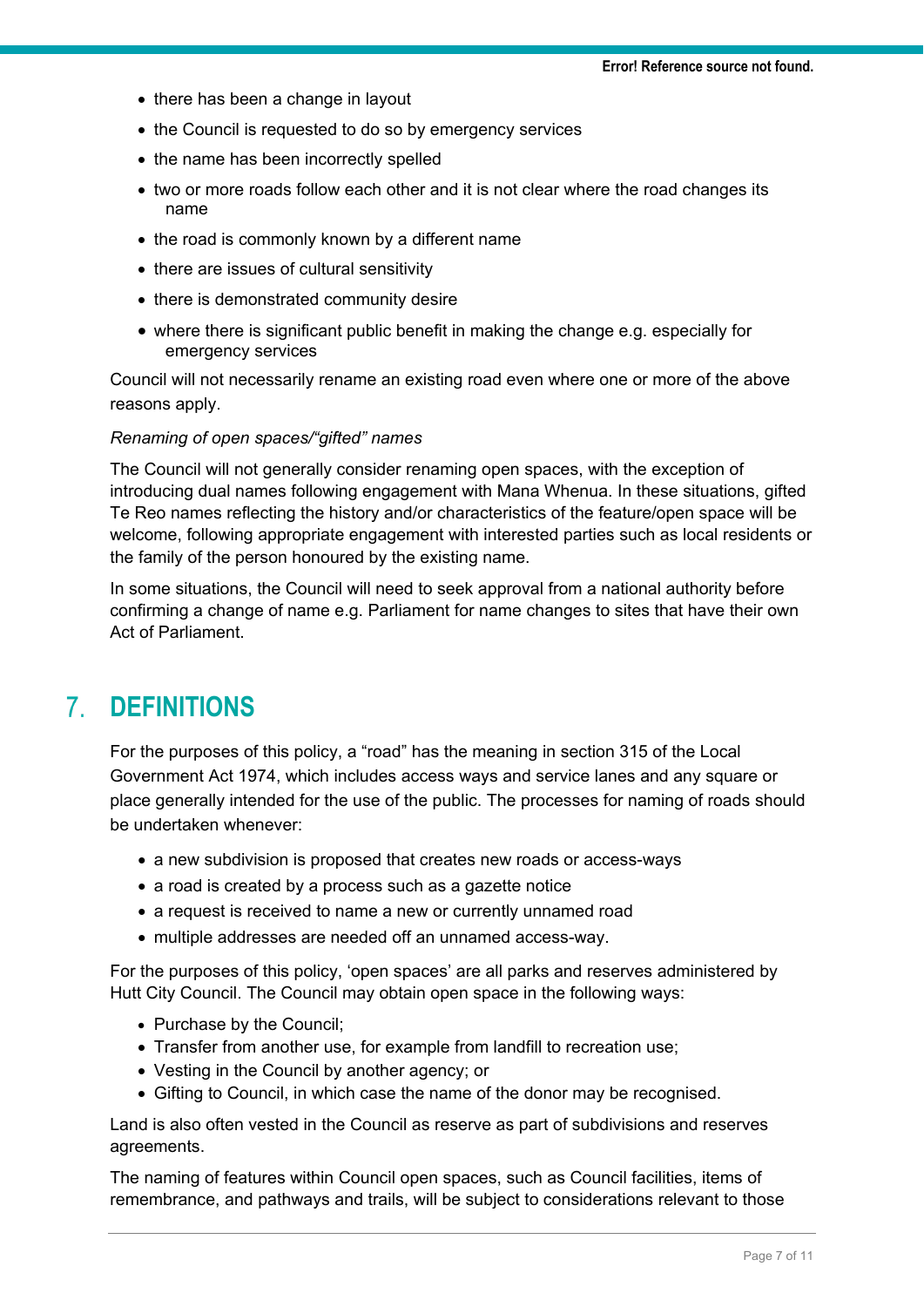- there has been a change in layout
- the Council is requested to do so by emergency services
- the name has been incorrectly spelled
- two or more roads follow each other and it is not clear where the road changes its name
- the road is commonly known by a different name
- there are issues of cultural sensitivity
- there is demonstrated community desire
- where there is significant public benefit in making the change e.g. especially for emergency services

Council will not necessarily rename an existing road even where one or more of the above reasons apply.

### *Renaming of open spaces/"gifted" names*

The Council will not generally consider renaming open spaces, with the exception of introducing dual names following engagement with Mana Whenua. In these situations, gifted Te Reo names reflecting the history and/or characteristics of the feature/open space will be welcome, following appropriate engagement with interested parties such as local residents or the family of the person honoured by the existing name.

In some situations, the Council will need to seek approval from a national authority before confirming a change of name e.g. Parliament for name changes to sites that have their own Act of Parliament.

#### **DEFINITIONS**   $\mathbf{7}$

For the purposes of this policy, a "road" has the meaning in section 315 of the Local Government Act 1974, which includes access ways and service lanes and any square or place generally intended for the use of the public. The processes for naming of roads should be undertaken whenever:

- a new subdivision is proposed that creates new roads or access-ways
- a road is created by a process such as a gazette notice
- a request is received to name a new or currently unnamed road
- multiple addresses are needed off an unnamed access-way.

For the purposes of this policy, 'open spaces' are all parks and reserves administered by Hutt City Council. The Council may obtain open space in the following ways:

- Purchase by the Council;
- Transfer from another use, for example from landfill to recreation use;
- Vesting in the Council by another agency; or
- Gifting to Council, in which case the name of the donor may be recognised.

Land is also often vested in the Council as reserve as part of subdivisions and reserves agreements.

The naming of features within Council open spaces, such as Council facilities, items of remembrance, and pathways and trails, will be subject to considerations relevant to those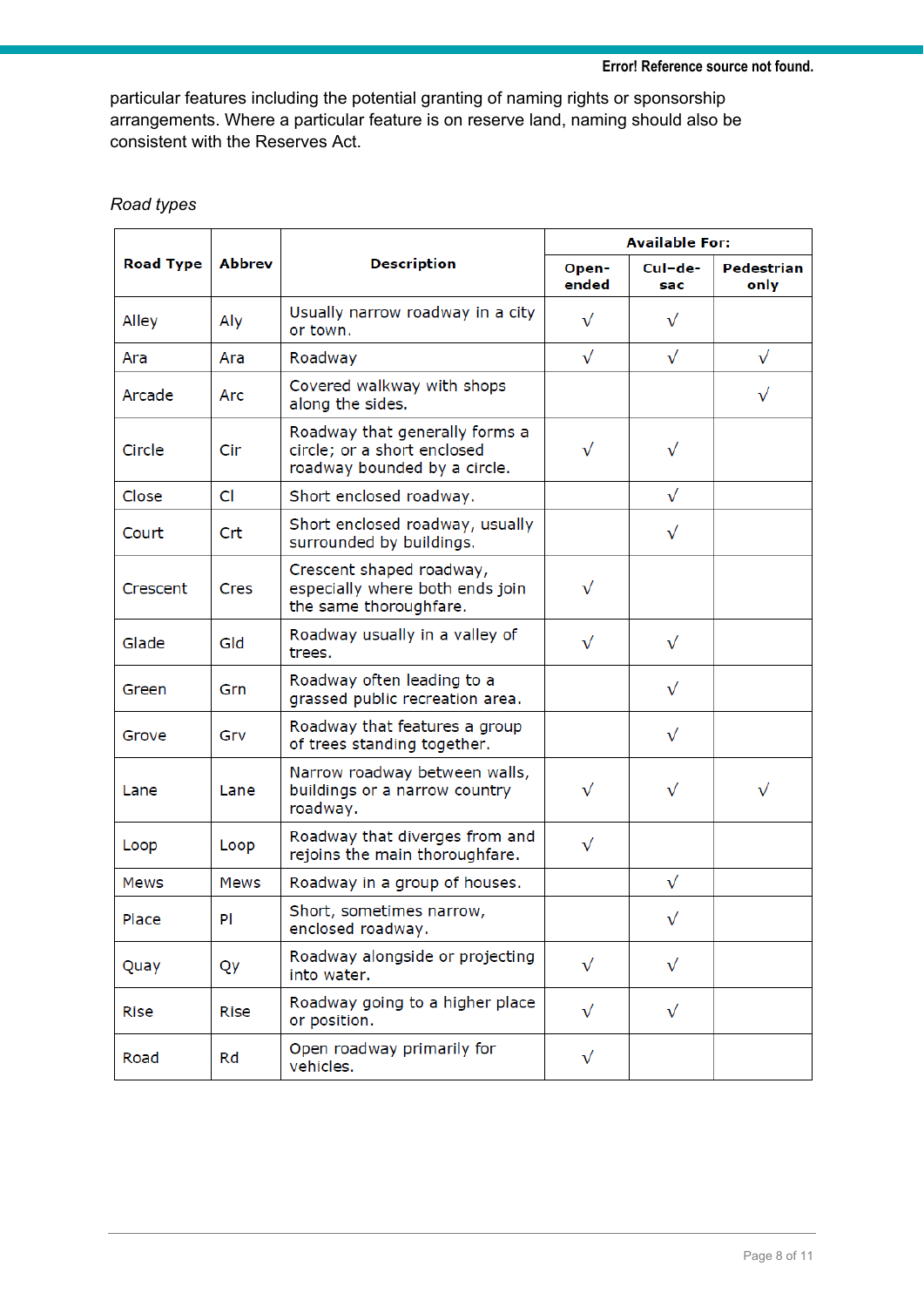particular features including the potential granting of naming rights or sponsorship arrangements. Where a particular feature is on reserve land, naming should also be consistent with the Reserves Act.

| <b>Road Type</b> | Abbrev      | <b>Description</b>                                                                            | <b>Available For:</b> |                |                    |
|------------------|-------------|-----------------------------------------------------------------------------------------------|-----------------------|----------------|--------------------|
|                  |             |                                                                                               | Open-<br>ended        | Cul-de-<br>sac | Pedestrian<br>only |
| Alley            | Aly         | Usually narrow roadway in a city<br>or town.                                                  | $\sqrt{}$             | $\sqrt{}$      |                    |
| Ara              | Ara         | Roadway                                                                                       | $\sqrt{}$             | $\sqrt{}$      | $\sqrt{}$          |
| Arcade           | Arc         | Covered walkway with shops<br>along the sides.                                                |                       |                | $\sqrt{}$          |
| Circle           | Cir         | Roadway that generally forms a<br>circle; or a short enclosed<br>roadway bounded by a circle. | $\sqrt{}$             | $\sqrt{}$      |                    |
| Close            | CI          | Short enclosed roadway.                                                                       |                       | $\sqrt{}$      |                    |
| Court            | Crt         | Short enclosed roadway, usually<br>surrounded by buildings.                                   |                       | $\sqrt{}$      |                    |
| Crescent         | Cres        | Crescent shaped roadway,<br>especially where both ends join<br>the same thoroughfare.         | $\sqrt{}$             |                |                    |
| Glade            | Gld         | Roadway usually in a valley of<br>trees.                                                      | $\sqrt{}$             | $\sqrt{}$      |                    |
| Green            | Grn         | Roadway often leading to a<br>grassed public recreation area.                                 |                       | $\sqrt{}$      |                    |
| Grove            | Grv         | Roadway that features a group<br>of trees standing together.                                  |                       | $\sqrt{}$      |                    |
| Lane             | Lane        | Narrow roadway between walls,<br>buildings or a narrow country<br>roadway.                    | $\sqrt{}$             | $\sqrt{}$      | $\sqrt{}$          |
| Loop             | Loop        | Roadway that diverges from and<br>rejoins the main thoroughfare.                              | $\sqrt{}$             |                |                    |
| Mews             | Mews        | Roadway in a group of houses.                                                                 |                       | $\sqrt{}$      |                    |
| Place            | PI          | Short, sometimes narrow,<br>enclosed roadway.                                                 |                       | $\sqrt{}$      |                    |
| Quay             | Qy          | Roadway alongside or projecting<br>into water.                                                | $\sqrt{}$             | $\sqrt{}$      |                    |
| <b>Rise</b>      | <b>Rise</b> | Roadway going to a higher place<br>or position.                                               | $\sqrt{}$             | $\sqrt{}$      |                    |
| Road             | Rd          | Open roadway primarily for<br>vehicles.                                                       | $\sqrt{}$             |                |                    |

## *Road types*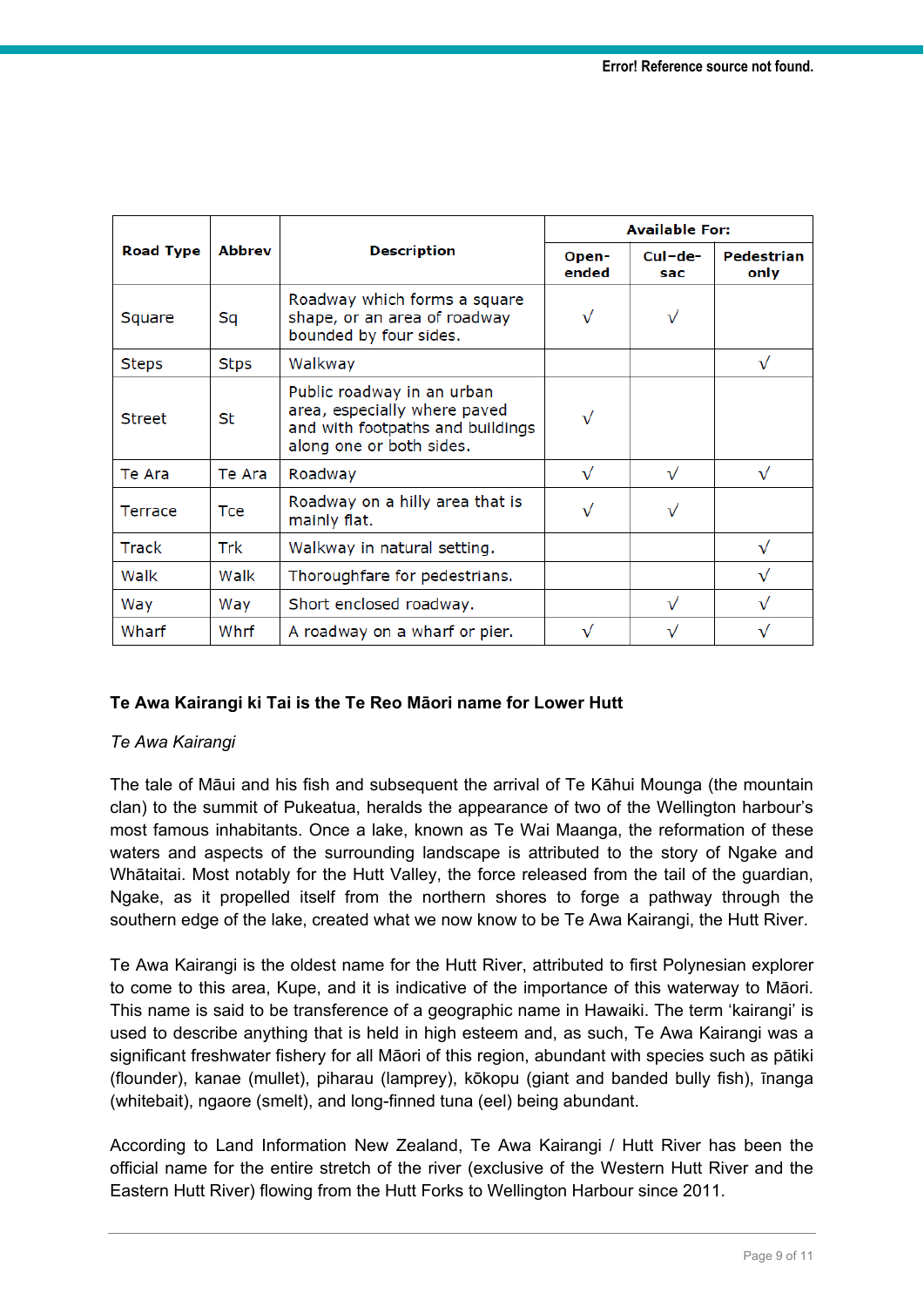|                  | <b>Abbrev</b> | <b>Description</b>                                                                                                         | <b>Available For:</b> |                  |                    |
|------------------|---------------|----------------------------------------------------------------------------------------------------------------------------|-----------------------|------------------|--------------------|
| <b>Road Type</b> |               |                                                                                                                            | Open-<br>ended        | $CuI-de-$<br>sac | Pedestrian<br>only |
| Square           | Sq            | Roadway which forms a square<br>shape, or an area of roadway<br>bounded by four sides.                                     | $\sqrt{}$             | $\sqrt{}$        |                    |
| <b>Steps</b>     | Stps          | Walkway                                                                                                                    |                       |                  | $\sqrt{}$          |
| <b>Street</b>    | St            | Public roadway in an urban<br>area, especially where paved<br>and with footpaths and buildings<br>along one or both sides. | $\sqrt{}$             |                  |                    |
| Te Ara           | Te Ara        | Roadway                                                                                                                    | $\sqrt{}$             | $\sqrt{}$        | $\sqrt{}$          |
| Terrace          | Tce           | Roadway on a hilly area that is<br>mainly flat.                                                                            | $\sqrt{}$             | $\sqrt{}$        |                    |
| <b>Track</b>     | Trk           | Walkway in natural setting.                                                                                                |                       |                  | $\checkmark$       |
| Walk             | Walk          | Thoroughfare for pedestrians.                                                                                              |                       |                  | $\sqrt{}$          |
| Way              | Way           | Short enclosed roadway.                                                                                                    |                       | $\sqrt{}$        | $\checkmark$       |
| Wharf            | Whrf          | A roadway on a wharf or pier.                                                                                              | $\sqrt{}$             |                  |                    |

## **Te Awa Kairangi ki Tai is the Te Reo Māori name for Lower Hutt**

## *Te Awa Kairangi*

The tale of Māui and his fish and subsequent the arrival of Te Kāhui Mounga (the mountain clan) to the summit of Pukeatua, heralds the appearance of two of the Wellington harbour's most famous inhabitants. Once a lake, known as Te Wai Maanga, the reformation of these waters and aspects of the surrounding landscape is attributed to the story of Ngake and Whātaitai. Most notably for the Hutt Valley, the force released from the tail of the guardian, Ngake, as it propelled itself from the northern shores to forge a pathway through the southern edge of the lake, created what we now know to be Te Awa Kairangi, the Hutt River.

Te Awa Kairangi is the oldest name for the Hutt River, attributed to first Polynesian explorer to come to this area, Kupe, and it is indicative of the importance of this waterway to Māori. This name is said to be transference of a geographic name in Hawaiki. The term 'kairangi' is used to describe anything that is held in high esteem and, as such, Te Awa Kairangi was a significant freshwater fishery for all Māori of this region, abundant with species such as pātiki (flounder), kanae (mullet), piharau (lamprey), kōkopu (giant and banded bully fish), īnanga (whitebait), ngaore (smelt), and long-finned tuna (eel) being abundant.

According to Land Information New Zealand, Te Awa Kairangi / Hutt River has been the official name for the entire stretch of the river (exclusive of the Western Hutt River and the Eastern Hutt River) flowing from the Hutt Forks to Wellington Harbour since 2011.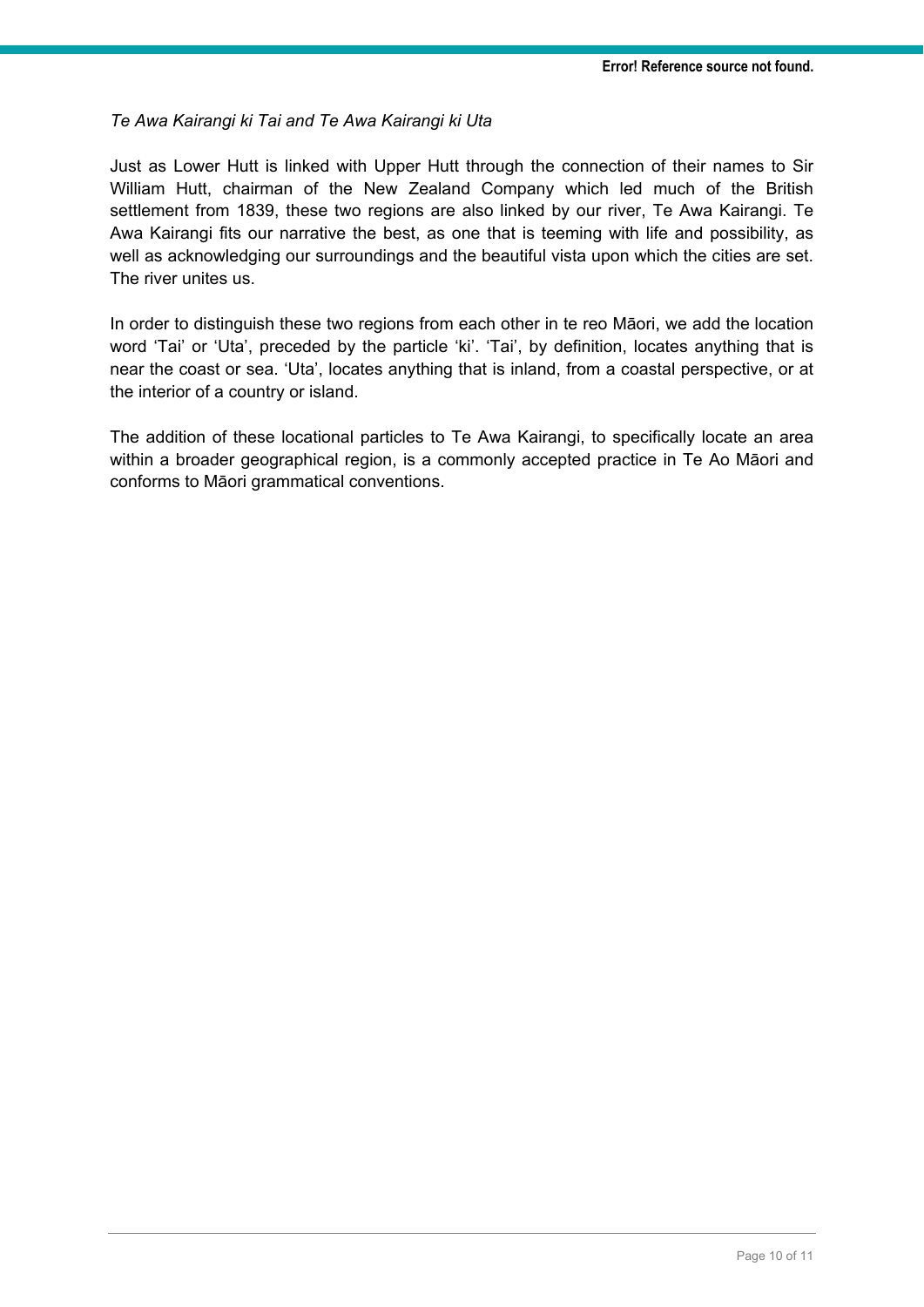## *Te Awa Kairangi ki Tai and Te Awa Kairangi ki Uta*

Just as Lower Hutt is linked with Upper Hutt through the connection of their names to Sir William Hutt, chairman of the New Zealand Company which led much of the British settlement from 1839, these two regions are also linked by our river, Te Awa Kairangi. Te Awa Kairangi fits our narrative the best, as one that is teeming with life and possibility, as well as acknowledging our surroundings and the beautiful vista upon which the cities are set. The river unites us.

In order to distinguish these two regions from each other in te reo Māori, we add the location word 'Tai' or 'Uta', preceded by the particle 'ki'. 'Tai', by definition, locates anything that is near the coast or sea. 'Uta', locates anything that is inland, from a coastal perspective, or at the interior of a country or island.

The addition of these locational particles to Te Awa Kairangi, to specifically locate an area within a broader geographical region, is a commonly accepted practice in Te Ao Māori and conforms to Māori grammatical conventions.